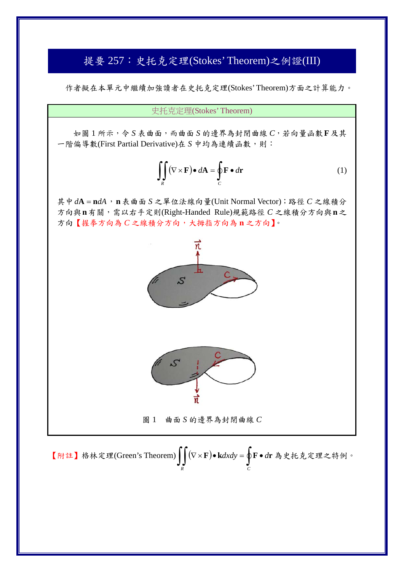## 提要 257: 史托克定理(Stokes' Theorem)之例證(III)

作者擬在本單元中繼續加強讀者在史托克定理(Stokes' Theorem)方面之計算能力。

史托克定理(Stokes' Theorem)

如圖 1 所示,令 *S* 表曲面,而曲面 *S* 的邊界為封閉曲線 *C*,若向量函數**F**及其 一階偏導數(First Partial Derivative)在 S 中均為連續函數,則:

$$
\iint\limits_R (\nabla \times \mathbf{F}) \bullet d\mathbf{A} = \oint\limits_C \mathbf{F} \bullet d\mathbf{r}
$$
 (1)

其中*d***A n***dA*,**n**表曲面 *S* 之單位法線向量(Unit Normal Vector);路徑 *C* 之線積分 方向與**n**有關,需以右手定則(Right-Handed Rule)規範路徑 *C* 之線積分方向與**n**之 方向【握拳方向為 *C* 之線積分方向,大拇指方向為 **n** 之方向】。



圖 1 曲面 *S* 的邊界為封閉曲線 *C*

【附註】格林定理(Green's Theorem) **F k***dxdy* **F** *d***r** 為史托克定理之特例。*R C*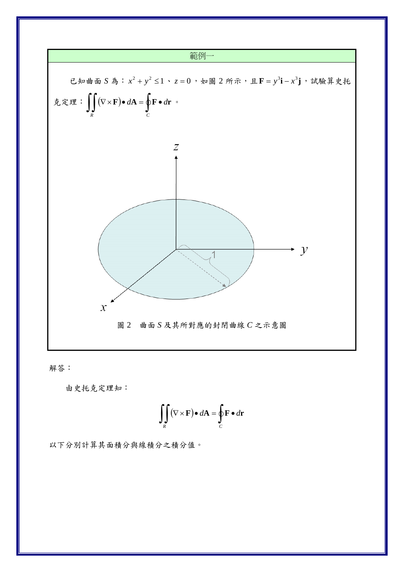

解答:

由史托克定理知:

$$
\iint\limits_R (\nabla \times \mathbf{F}) \bullet d\mathbf{A} = \oint\limits_C \mathbf{F} \bullet d\mathbf{r}
$$

以下分別計算其面積分與線積分之積分值。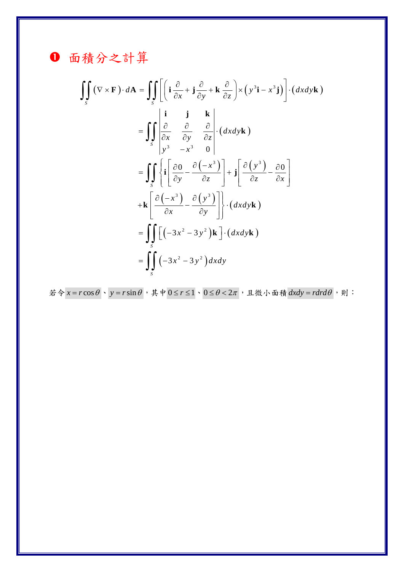❶ 面積分之計算

$$
\iint_{S} (\nabla \times \mathbf{F}) \cdot d\mathbf{A} = \iint_{S} \left[ \left( \mathbf{i} \frac{\partial}{\partial x} + \mathbf{j} \frac{\partial}{\partial y} + \mathbf{k} \frac{\partial}{\partial z} \right) \times \left( y^{3} \mathbf{i} - x^{3} \mathbf{j} \right) \right] \cdot (dx dy \mathbf{k})
$$
  
\n
$$
= \iint_{S} \left| \frac{\partial}{\partial x} \frac{\partial}{\partial y} \frac{\partial}{\partial z} \right| \cdot (dx dy \mathbf{k})
$$
  
\n
$$
= \iint_{S} \left\{ \mathbf{i} \left[ \frac{\partial \mathbf{0}}{\partial y} - \frac{\partial (-x^{3})}{\partial z} \right] + \mathbf{j} \left[ \frac{\partial (y^{3})}{\partial z} - \frac{\partial \mathbf{0}}{\partial x} \right] \right\}
$$
  
\n
$$
+ \mathbf{k} \left[ \frac{\partial (-x^{3})}{\partial x} - \frac{\partial (y^{3})}{\partial y} \right] \cdot (dx dy \mathbf{k})
$$
  
\n
$$
= \iint_{S} \left[ (-3x^{2} - 3y^{2}) \mathbf{k} \right] \cdot (dx dy \mathbf{k})
$$
  
\n
$$
= \iint_{S} (-3x^{2} - 3y^{2}) dx dy
$$

若令  $x = r \cos \theta$ 、  $y = r \sin \theta$ , 其中  $0 \le r \le 1$ 、  $0 \le \theta < 2\pi$ , 且微小面積  $dx dy = r dr d\theta$ , 則: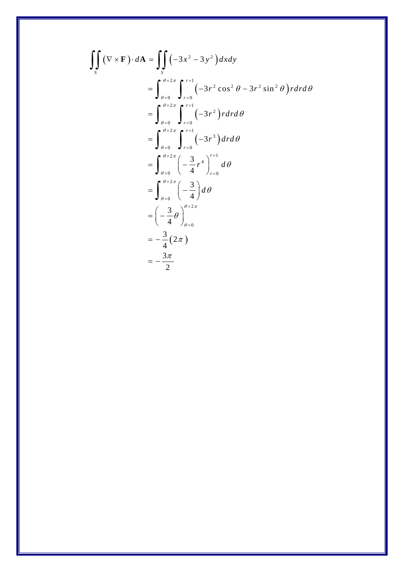$$
\iint_{S} (\nabla \times \mathbf{F}) \cdot d\mathbf{A} = \iint_{S} (-3x^{2} - 3y^{2}) dxdy
$$
  
\n
$$
= \int_{\theta=0}^{\theta=2\pi} \int_{r=0}^{r=1} (-3r^{2} \cos^{2} \theta - 3r^{2} \sin^{2} \theta) r dr d\theta
$$
  
\n
$$
= \int_{\theta=0}^{\theta=2\pi} \int_{r=0}^{r=1} (-3r^{2}) r dr d\theta
$$
  
\n
$$
= \int_{\theta=0}^{\theta=2\pi} \int_{r=0}^{r=1} (-3r^{3}) dr d\theta
$$
  
\n
$$
= \int_{\theta=0}^{\theta=2\pi} \left(-\frac{3}{4}r^{4}\right)_{r=0}^{r=1} d\theta
$$
  
\n
$$
= \int_{\theta=0}^{\theta=2\pi} \left(-\frac{3}{4}\right) d\theta
$$
  
\n
$$
= \left(-\frac{3}{4} \theta\right)_{\theta=0}^{\theta=2\pi}
$$
  
\n
$$
= -\frac{3}{4} (2\pi)
$$
  
\n
$$
= -\frac{3\pi}{2}
$$